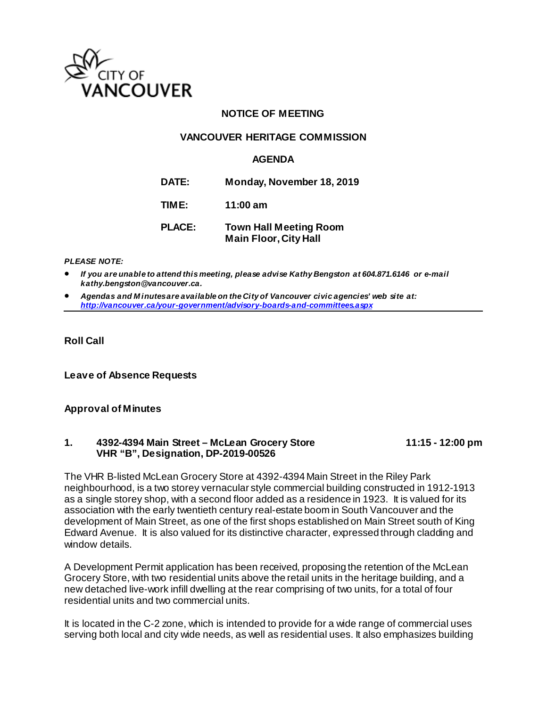

## **NOTICE OF MEETING**

#### **VANCOUVER HERITAGE COMMISSION**

#### **AGENDA**

**DATE: Monday, November 18, 2019**

**TIME: 11:00 am**

**PLACE: Town Hall Meeting Room Main Floor, City Hall**

#### *PLEASE NOTE:*

• *If you are unable to attend this meeting, please advise Kathy Bengston at 604.871.6146 or e-mail kathy.bengston@vancouver.ca.* 

• *Agendas and M inutes are available on the City of Vancouver civic agencies' web site at: <http://vancouver.ca/your-government/advisory-boards-and-committees.aspx>*

#### **Roll Call**

**Leave of Absence Requests**

#### **Approval of Minutes**

#### **1. 4392-4394 Main Street – McLean Grocery Store 11:15 - 12:00 pm VHR "B", Designation, DP-2019-00526**

The VHR B-listed McLean Grocery Store at 4392-4394 Main Street in the Riley Park neighbourhood, is a two storey vernacular style commercial building constructed in 1912-1913 as a single storey shop, with a second floor added as a residence in 1923. It is valued for its association with the early twentieth century real-estate boom in South Vancouver and the development of Main Street, as one of the first shops established on Main Street south of King Edward Avenue. It is also valued for its distinctive character, expressed through cladding and window details.

A Development Permit application has been received, proposing the retention of the McLean Grocery Store, with two residential units above the retail units in the heritage building, and a new detached live-work infill dwelling at the rear comprising of two units, for a total of four residential units and two commercial units.

It is located in the C-2 zone, which is intended to provide for a wide range of commercial uses serving both local and city wide needs, as well as residential uses. It also emphasizes building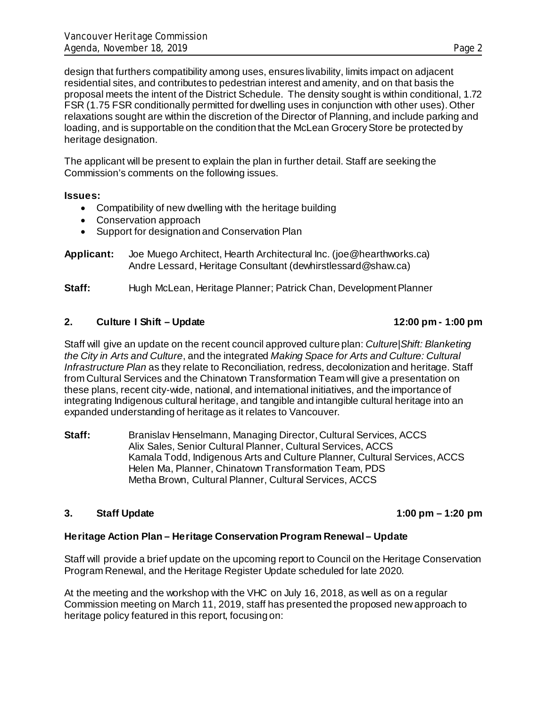design that furthers compatibility among uses, ensures livability, limits impact on adjacent residential sites, and contributes to pedestrian interest and amenity, and on that basis the proposal meets the intent of the District Schedule. The density sought is within conditional, 1.72 FSR (1.75 FSR conditionally permitted for dwelling uses in conjunction with other uses). Other relaxations sought are within the discretion of the Director of Planning, and include parking and loading, and is supportable on the condition that the McLean Grocery Store be protected by heritage designation.

The applicant will be present to explain the plan in further detail. Staff are seeking the Commission's comments on the following issues.

#### **Issues:**

- Compatibility of new dwelling with the heritage building
- Conservation approach
- Support for designation and Conservation Plan
- **Applicant:** Joe Muego Architect, Hearth Architectural Inc. (joe@hearthworks.ca) Andre Lessard, Heritage Consultant (dewhirstlessard@shaw.ca)

**Staff:** Hugh McLean, Heritage Planner; Patrick Chan, Development Planner

#### **2. Culture I Shift – Update 12:00 pm - 1:00 pm**

Staff will give an update on the recent council approved culture plan: *Culture|Shift: Blanketing the City in Arts and Culture*, and the integrated *Making Space for Arts and Culture: Cultural Infrastructure Plan* as they relate to Reconciliation, redress, decolonization and heritage. Staff from Cultural Services and the Chinatown Transformation Team will give a presentation on these plans, recent city-wide, national, and international initiatives, and the importance of integrating Indigenous cultural heritage, and tangible and intangible cultural heritage into an expanded understanding of heritage as it relates to Vancouver.

**Staff:** Branislav Henselmann, Managing Director, Cultural Services, ACCS Alix Sales, Senior Cultural Planner, Cultural Services, ACCS Kamala Todd, Indigenous Arts and Culture Planner, Cultural Services, ACCS Helen Ma, Planner, Chinatown Transformation Team, PDS Metha Brown, Cultural Planner, Cultural Services, ACCS

## **3. Staff Update 1:00 pm – 1:20 pm**

## **Heritage Action Plan – Heritage Conservation Program Renewal – Update**

Staff will provide a brief update on the upcoming report to Council on the Heritage Conservation Program Renewal, and the Heritage Register Update scheduled for late 2020.

At the meeting and the workshop with the VHC on July 16, 2018, as well as on a regular Commission meeting on March 11, 2019, staff has presented the proposed new approach to heritage policy featured in this report, focusing on: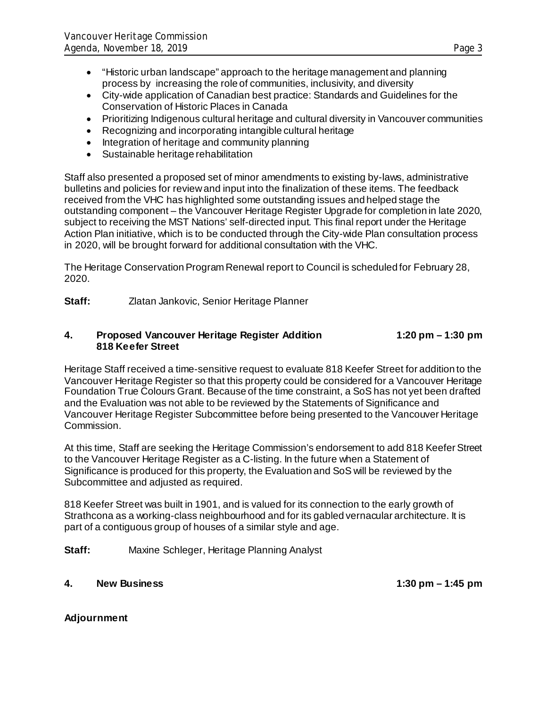- "Historic urban landscape" approach to the heritage management and planning process by increasing the role of communities, inclusivity, and diversity
- City-wide application of Canadian best practice: Standards and Guidelines for the Conservation of Historic Places in Canada
- Prioritizing Indigenous cultural heritage and cultural diversity in Vancouver communities
- Recognizing and incorporating intangible cultural heritage
- Integration of heritage and community planning
- Sustainable heritage rehabilitation

Staff also presented a proposed set of minor amendments to existing by-laws, administrative bulletins and policies for review and input into the finalization of these items. The feedback received from the VHC has highlighted some outstanding issues and helped stage the outstanding component – the Vancouver Heritage Register Upgrade for completion in late 2020, subject to receiving the MST Nations' self-directed input. This final report under the Heritage Action Plan initiative, which is to be conducted through the City-wide Plan consultation process in 2020, will be brought forward for additional consultation with the VHC.

The Heritage Conservation Program Renewal report to Council is scheduled for February 28, 2020.

**Staff:** Zlatan Jankovic, Senior Heritage Planner

#### **4. Proposed Vancouver Heritage Register Addition 1:20 pm – 1:30 pm 818 Keefer Street**

Heritage Staff received a time-sensitive request to evaluate 818 Keefer Street for addition to the Vancouver Heritage Register so that this property could be considered for a Vancouver Heritage Foundation True Colours Grant. Because of the time constraint, a SoS has not yet been drafted and the Evaluation was not able to be reviewed by the Statements of Significance and Vancouver Heritage Register Subcommittee before being presented to the Vancouver Heritage Commission.

At this time, Staff are seeking the Heritage Commission's endorsement to add 818 Keefer Street to the Vancouver Heritage Register as a C-listing. In the future when a Statement of Significance is produced for this property, the Evaluation and SoS will be reviewed by the Subcommittee and adjusted as required.

818 Keefer Street was built in 1901, and is valued for its connection to the early growth of Strathcona as a working-class neighbourhood and for its gabled vernacular architecture. It is part of a contiguous group of houses of a similar style and age.

**Staff:** Maxine Schleger, Heritage Planning Analyst

## **4. New Business 1:30 pm – 1:45 pm**

**Adjournment**